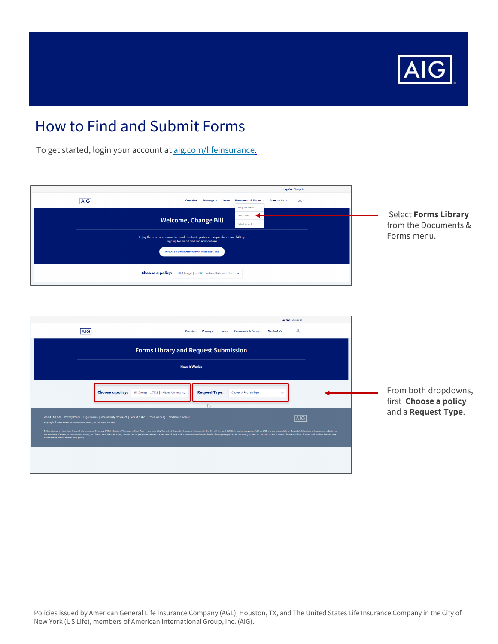

To get started, login your account at [aig.com/lifeinsurance](https://www.lifeandretirement.aig.com/individuals/life).

| Log Out Change Bill<br>AIG<br>$\mathbb{R}^+$<br>Documents & Forms<br>Contact Us -<br>Overview<br><b>Policy Documents</b><br>Forms Ubrary<br><b>Welcome, Change Bill</b><br>Submit Request<br>Enjoy the ease and convenience of electronic policy correspondence and billing.<br>Sign up for email and text notifications.                                                                                                                                                                                                                                                                                      | <b>Select Forms Library</b><br>from the Documents &<br>Forms menu.   |
|----------------------------------------------------------------------------------------------------------------------------------------------------------------------------------------------------------------------------------------------------------------------------------------------------------------------------------------------------------------------------------------------------------------------------------------------------------------------------------------------------------------------------------------------------------------------------------------------------------------|----------------------------------------------------------------------|
| <b>UPDATE COMMUNICATION PREFERENCES</b><br>Choose a policy: Bill, Change   7812   Indexed Universal Life \                                                                                                                                                                                                                                                                                                                                                                                                                                                                                                     |                                                                      |
| Log Out Change Bill<br><b>AIG</b><br>$2 -$<br>Documents & Forms *<br>Contact Us<br><b>Forms Library and Request Submission</b>                                                                                                                                                                                                                                                                                                                                                                                                                                                                                 |                                                                      |
| <b>How It Works</b><br>Choose a policy: Bill, Change   7812   Indexed Universa v<br><b>Request Type:</b><br>Choose A Request Type<br>∾<br>IS.<br>About Our Ads   Privacy Policy   Legal Notice   Accessibility Statement   Terms Of Use   Fraud Warning   Electronic Consent<br>$\overline{AIG}$<br>Copyright © 2021 American International Group, Inc. All rights reserved.<br>Folicia issed by Anetica General the Insurance Company (ACI), Houseu, TX except in the York where issued by The Universe Company in the City of New York (US Life), Issuing companies ACI and US Life, or mayonable for forces | From both dropdowns,<br>first Choose a policy<br>and a Request Type. |
|                                                                                                                                                                                                                                                                                                                                                                                                                                                                                                                                                                                                                |                                                                      |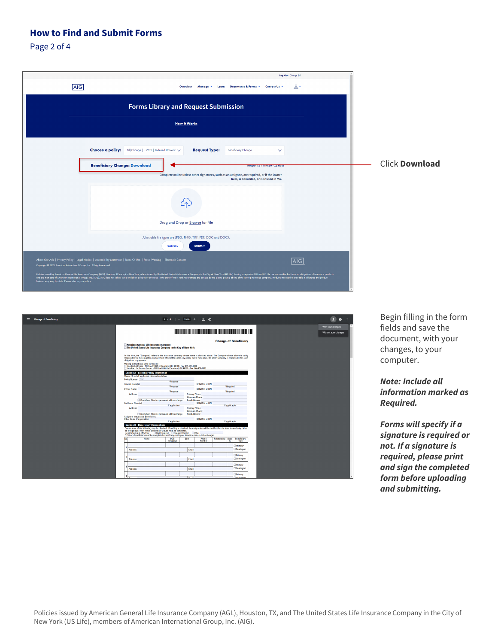Page 2 of 4

| Log Out Change Bill<br><b>AIG</b><br>$\mathbb{R}^+$<br>Documents & Forms * Contact Us<br>Overview<br>Manage *<br>Learn                                                                                                                                                                                                                                                                                                                                                                                                                                                                                                                                                                                                                           |                       |
|--------------------------------------------------------------------------------------------------------------------------------------------------------------------------------------------------------------------------------------------------------------------------------------------------------------------------------------------------------------------------------------------------------------------------------------------------------------------------------------------------------------------------------------------------------------------------------------------------------------------------------------------------------------------------------------------------------------------------------------------------|-----------------------|
| <b>Forms Library and Request Submission</b>                                                                                                                                                                                                                                                                                                                                                                                                                                                                                                                                                                                                                                                                                                      |                       |
| <b>How It Works</b>                                                                                                                                                                                                                                                                                                                                                                                                                                                                                                                                                                                                                                                                                                                              |                       |
| Choose a policy:<br>Bill, Change   7812   Indexed Universa<br><b>Request Type:</b><br><b>Beneficiary Change</b><br>$\checkmark$                                                                                                                                                                                                                                                                                                                                                                                                                                                                                                                                                                                                                  |                       |
| <b>Beneficiary Change: Download</b><br><b>A RESPUTATION FOR DISTANCE AND DESCRIPTION</b><br>Complete online unless other signatures, such as an assignee, are required, or if the Owner<br>lives, is domiciled, or is sitused in MA.                                                                                                                                                                                                                                                                                                                                                                                                                                                                                                             | <b>Click Download</b> |
|                                                                                                                                                                                                                                                                                                                                                                                                                                                                                                                                                                                                                                                                                                                                                  |                       |
| Drag and Drop or Browse for File<br>Allowable file types are JPEG, PNG, TIFF, PDF, DOC and DOCX.                                                                                                                                                                                                                                                                                                                                                                                                                                                                                                                                                                                                                                                 |                       |
| <b>SUBMIT</b><br><b>CANCEL</b>                                                                                                                                                                                                                                                                                                                                                                                                                                                                                                                                                                                                                                                                                                                   |                       |
| About Our Ads   Privacy Policy   Legal Notice   Accessibility Statement   Terms Of Use   Fraud Warning   Electronic Consent<br> A G <br>Copyright @ 2021 American International Group, Inc. All rights reserved.<br>Policies issued by American General Life Insurance Company (AGL), Houston, TX except in New York, where issued by The United States Life Insurance Company in the City of New York, [US Life]. Issuing companies AGL and US Li<br>and are members of American International Group, Inc. (AIG). AGL does not solicit, issue or deliver policies or contracts in the state of New York. Guarantees are backed by the claims-paying ability of the issuing insuranc<br>features may vary by state. Please refer to your policy. |                       |

| $\equiv$ Change of Beneficiary |                                                                                                                            | $1/4$ - 100% + $\Box$ $\Diamond$                                                                                                                                                                                                                                                                                                                                                      |                       |                                                    |                    |                              | п<br>e                                    |
|--------------------------------|----------------------------------------------------------------------------------------------------------------------------|---------------------------------------------------------------------------------------------------------------------------------------------------------------------------------------------------------------------------------------------------------------------------------------------------------------------------------------------------------------------------------------|-----------------------|----------------------------------------------------|--------------------|------------------------------|-------------------------------------------|
|                                |                                                                                                                            |                                                                                                                                                                                                                                                                                                                                                                                       |                       |                                                    |                    |                              | With your changes<br>Without your changes |
|                                | American General Life Insurance Company                                                                                    | The United States Life Insurance Company in the City of New York                                                                                                                                                                                                                                                                                                                      |                       |                                                    |                    | <b>Change of Beneficiary</b> |                                           |
|                                | obligations or payments.<br>Mailing Instructions: Send form(s) to:                                                         | In this form, the "Company" refers to the insurance company whose name is checked above. The Company shown above is solely<br>responsible for the obligation and payment of benefits under any policy that it may issue. No other                                                                                                                                                     |                       |                                                    |                    |                              |                                           |
|                                |                                                                                                                            | Standard Address . PO Box 818005 . Cleveland, OH 44181 . Fax: 855-601-1834<br>Variable Life Service Center . PO Box 818016 . Cleveland, OH 44181 . Fax: 844-430-2639                                                                                                                                                                                                                  |                       |                                                    |                    |                              |                                           |
|                                | <b>Section A - Existing Policy Information</b><br>Please fill out all applicable information below.<br>Policy Number: Test |                                                                                                                                                                                                                                                                                                                                                                                       |                       |                                                    |                    |                              |                                           |
|                                | <b>Insured Name(s)</b>                                                                                                     | *Required<br>*Required                                                                                                                                                                                                                                                                                                                                                                |                       | <b>SSN/ITIN or EIN:</b>                            |                    | *Required                    |                                           |
|                                | <b>Owner Name:</b><br><b>Address:</b>                                                                                      | *Required                                                                                                                                                                                                                                                                                                                                                                             | <b>Primary Phone:</b> | <b>SSN/ITIN or EIN:</b>                            |                    | *Required                    |                                           |
|                                | <b>Co-Owner Name(s):</b>                                                                                                   | $\Box$ Check here if this is a permanent address change                                                                                                                                                                                                                                                                                                                               | <b>Email Address:</b> | <b>Alternate Phone:</b><br><b>SSN/ITIN or EIN:</b> |                    |                              |                                           |
|                                | <b>Address:</b>                                                                                                            | If anniicable                                                                                                                                                                                                                                                                                                                                                                         | <b>Primary Phone:</b> | Alternate Phone:                                   |                    | If applicable                |                                           |
|                                | Assignee, Irrevocable Beneficiary,<br>Other Name (if applicable):                                                          | □ Check here if this is a permanent address change                                                                                                                                                                                                                                                                                                                                    | <b>Email Address:</b> | <b>SSN/ITIN or EIN:</b>                            |                    |                              |                                           |
|                                | <b>Section B - Beneficiary Designations</b>                                                                                | If applicable                                                                                                                                                                                                                                                                                                                                                                         |                       |                                                    |                    | If applicable                |                                           |
|                                |                                                                                                                            | One or more of the following may be checked. If nothing is checked, the designation will be in effect for the base insured only. Must<br>be of legal age, if not Minor Beneficiary Clause must be completed.<br>Designation is in effect for Base Insured ESpouse Insured ED then<br>* Primary Beneficiary must be completed even if only contingent beneficiaries are to be changed. |                       |                                                    |                    |                              |                                           |
|                                | No.<br>Name                                                                                                                | DOR<br>mm/dd/wy                                                                                                                                                                                                                                                                                                                                                                       | <b>SSN</b>            | Phone<br>Number                                    | Relationship Share | Beneficiary<br>×<br>Type     |                                           |
|                                | Address:                                                                                                                   |                                                                                                                                                                                                                                                                                                                                                                                       | <b>Fmail:</b>         |                                                    |                    | Primary*<br>Contingent       |                                           |
|                                | Address:                                                                                                                   |                                                                                                                                                                                                                                                                                                                                                                                       | <b>Email:</b>         |                                                    |                    | Primary<br>Contingent        |                                           |
|                                |                                                                                                                            |                                                                                                                                                                                                                                                                                                                                                                                       |                       |                                                    |                    | Primary                      |                                           |
|                                | Address:                                                                                                                   |                                                                                                                                                                                                                                                                                                                                                                                       | <b>Email:</b>         |                                                    |                    | Contingent                   |                                           |
|                                |                                                                                                                            |                                                                                                                                                                                                                                                                                                                                                                                       |                       |                                                    |                    | Primary<br><b>TConfer</b>    |                                           |

Begin filling in the form fields and save the document, with your changes, to your computer.

*Note: Include all information marked as Required.*

*Forms will specify if a signature is required or not. If a signature is required, please print and sign the completed form before uploading and submitting.*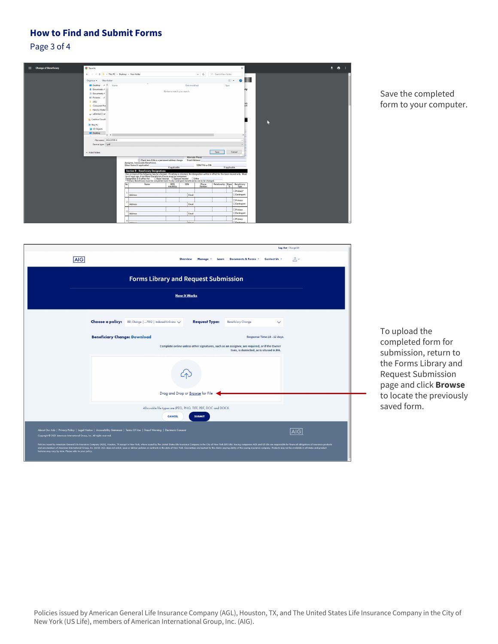Page 3 of 4



#### Save the completed form to your computer.

|                                                                                                                                      |                                                                                                                             |                                                                                                                                                                                                                                                                                                                                                                                                                                                                                                    |                                                                                                                           | Log Out Change Bill |  |  |  |
|--------------------------------------------------------------------------------------------------------------------------------------|-----------------------------------------------------------------------------------------------------------------------------|----------------------------------------------------------------------------------------------------------------------------------------------------------------------------------------------------------------------------------------------------------------------------------------------------------------------------------------------------------------------------------------------------------------------------------------------------------------------------------------------------|---------------------------------------------------------------------------------------------------------------------------|---------------------|--|--|--|
| <b>AIG</b>                                                                                                                           |                                                                                                                             | Overview<br>Manage -                                                                                                                                                                                                                                                                                                                                                                                                                                                                               | Contact Us -<br>Documents & Forms *<br>Learn                                                                              | 으 -                 |  |  |  |
| <b>Forms Library and Request Submission</b>                                                                                          |                                                                                                                             |                                                                                                                                                                                                                                                                                                                                                                                                                                                                                                    |                                                                                                                           |                     |  |  |  |
|                                                                                                                                      |                                                                                                                             | <b>How It Works</b>                                                                                                                                                                                                                                                                                                                                                                                                                                                                                |                                                                                                                           |                     |  |  |  |
|                                                                                                                                      | <b>Choose a policy:</b> Bill, Change    7812   Indexed Universa $\vee$                                                      | <b>Request Type:</b>                                                                                                                                                                                                                                                                                                                                                                                                                                                                               | <b>Beneficiary Change</b><br>$\checkmark$                                                                                 |                     |  |  |  |
|                                                                                                                                      | <b>Beneficiary Change: Download</b>                                                                                         |                                                                                                                                                                                                                                                                                                                                                                                                                                                                                                    | Response Time:10 - 12 days<br>Complete online unless other signatures, such as an assignee, are required, or if the Owner |                     |  |  |  |
|                                                                                                                                      | lives, is domiciled, or is sitused in MA.                                                                                   |                                                                                                                                                                                                                                                                                                                                                                                                                                                                                                    |                                                                                                                           |                     |  |  |  |
| Drag and Drop or Browse for File<br>Allowable file types are JPEG, PNG, TIFF, PDF, DOC and DOCX.                                     |                                                                                                                             |                                                                                                                                                                                                                                                                                                                                                                                                                                                                                                    |                                                                                                                           |                     |  |  |  |
| Copyright @ 2021 American International Group, Inc. All rights reserved.<br>features may vary by state. Please refer to your policy. | About Our Ads   Privacy Policy   Legal Notice   Accessibility Statement   Terms Of Use   Fraud Warning   Electronic Consent | <b>CANCEL</b><br><b>SUBMIT</b><br>Policies issued by American General Life Insurance Company [AGL], Houston, TX except in New York, where issued by The United States Life Insurance Company in the City of New York, Company in the City of New York (US Life).<br>and are members of American International Group, Inc. (AIG). AGL does not solicit, issue or deliver policies or contracts in the state of New York. Guarantees are backed by the claims-paying ability of the issuing insuranc |                                                                                                                           | <b>AIG</b>          |  |  |  |

To upload the completed form for submission, return to the Forms Library and Request Submission page and click **Browse** to locate the previously saved form.